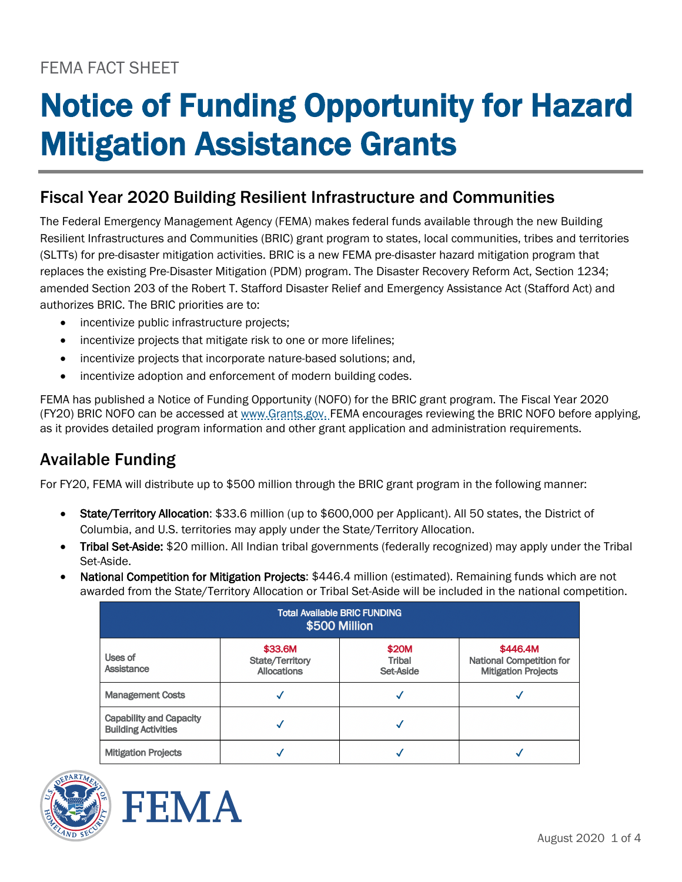# FEMA FACT SHEET

# Notice of Funding Opportunity for Hazard Mitigation Assistance Grants

## Fiscal Year 2020 Building Resilient Infrastructure and Communities

The Federal Emergency Management Agency (FEMA) makes federal funds available through the new Building Resilient Infrastructures and Communities (BRIC) grant program to states, local communities, tribes and territories (SLTTs) for pre-disaster mitigation activities. BRIC is a new FEMA pre-disaster hazard mitigation program that replaces the existing Pre-Disaster Mitigation (PDM) program. The Disaster Recovery Reform Act, Section 1234; amended Section 203 of the Robert T. Stafford Disaster Relief and Emergency Assistance Act (Stafford Act) and authorizes BRIC. The BRIC priorities are to:

- incentivize public infrastructure projects;
- incentivize projects that mitigate risk to one or more lifelines;
- incentivize projects that incorporate nature-based solutions; and,
- incentivize adoption and enforcement of modern building codes.

FEMA has published a Notice of Funding Opportunity (NOFO) for the BRIC grant program. The Fiscal Year 2020 (FY20) BRIC NOFO can be accessed at [www.Grants.gov.](http://www.grants.gov/) FEMA encourages reviewing the BRIC NOFO before applying, as it provides detailed program information and other grant application and administration requirements.

## Available Funding

For FY20, FEMA will distribute up to \$500 million through the BRIC grant program in the following manner:

- State/Territory Allocation: \$33.6 million (up to \$600,000 per Applicant). All 50 states, the District of Columbia, and U.S. territories may apply under the State/Territory Allocation.
- Tribal Set-Aside: \$20 million. All Indian tribal governments (federally recognized) may apply under the Tribal Set-Aside.
- National Competition for Mitigation Projects: \$446.4 million (estimated). Remaining funds which are not awarded from the State/Territory Allocation or Tribal Set-Aside will be included in the national competition.

| <b>Total Available BRIC FUNDING</b><br>\$500 Million         |                                                         |                              |                                                                           |
|--------------------------------------------------------------|---------------------------------------------------------|------------------------------|---------------------------------------------------------------------------|
| Uses of<br><b>Assistance</b>                                 | \$33.6M<br><b>State/Territory</b><br><b>Allocations</b> | \$20M<br>Tribal<br>Set-Aside | \$446.4M<br><b>National Competition for</b><br><b>Mitigation Projects</b> |
| <b>Management Costs</b>                                      |                                                         |                              |                                                                           |
| <b>Capability and Capacity</b><br><b>Building Activities</b> |                                                         |                              |                                                                           |
| <b>Mitigation Projects</b>                                   |                                                         |                              |                                                                           |



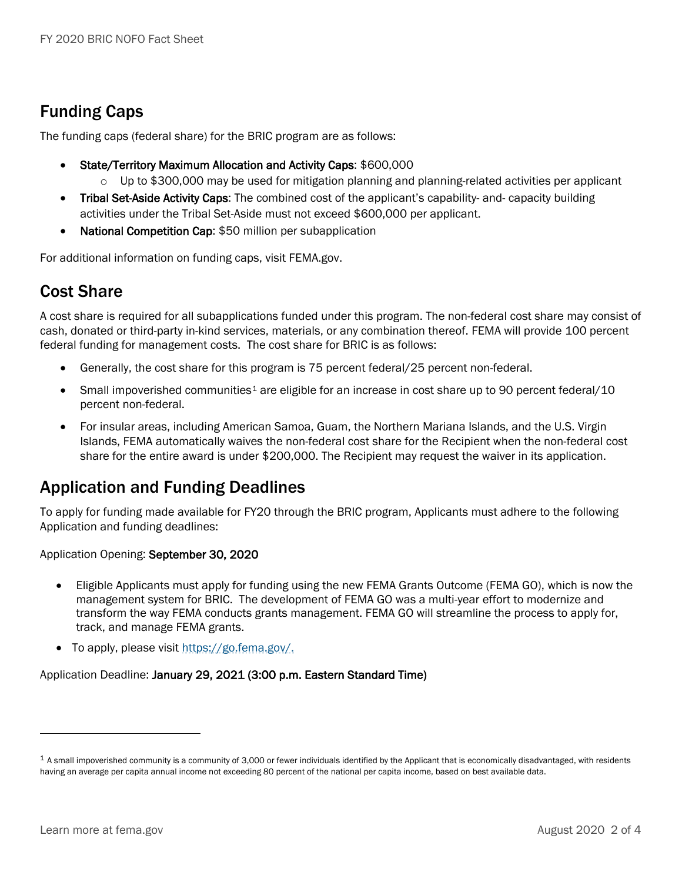# Funding Caps

The funding caps (federal share) for the BRIC program are as follows:

- State/Territory Maximum Allocation and Activity Caps: \$600,000
	- $\circ$  Up to \$300,000 may be used for mitigation planning and planning-related activities per applicant
- Tribal Set-Aside Activity Caps: The combined cost of the applicant's capability- and- capacity building activities under the Tribal Set-Aside must not exceed \$600,000 per applicant.
- National Competition Cap: \$50 million per subapplication

For additional information on funding caps, visit FEMA.gov.

### Cost Share

A cost share is required for all subapplications funded under this program. The non-federal cost share may consist of cash, donated or third-party in-kind services, materials, or any combination thereof. FEMA will provide 100 percent federal funding for management costs. The cost share for BRIC is as follows:

- Generally, the cost share for this program is 75 percent federal/25 percent non-federal.
- Small impoverished communities<sup>[1](#page-1-0)</sup> are eligible for an increase in cost share up to 90 percent federal/10 percent non-federal.
- For insular areas, including American Samoa, Guam, the Northern Mariana Islands, and the U.S. Virgin Islands, FEMA automatically waives the non-federal cost share for the Recipient when the non-federal cost share for the entire award is under \$200,000. The Recipient may request the waiver in its application.

## Application and Funding Deadlines

To apply for funding made available for FY20 through the BRIC program, Applicants must adhere to the following Application and funding deadlines:

Application Opening: September 30, 2020

- Eligible Applicants must apply for funding using the new FEMA Grants Outcome (FEMA GO), which is now the management system for BRIC. The development of FEMA GO was a multi-year effort to modernize and transform the way FEMA conducts grants management. FEMA GO will streamline the process to apply for, track, and manage FEMA grants.
- To apply, please visit [https://go.fema.gov/.](https://go.fema.gov/)

Application Deadline: January 29, 2021 (3:00 p.m. Eastern Standard Time)

 $\overline{a}$ 

<span id="page-1-0"></span> $1$  A small impoverished community is a community of 3,000 or fewer individuals identified by the Applicant that is economically disadvantaged, with residents having an average per capita annual income not exceeding 80 percent of the national per capita income, based on best available data.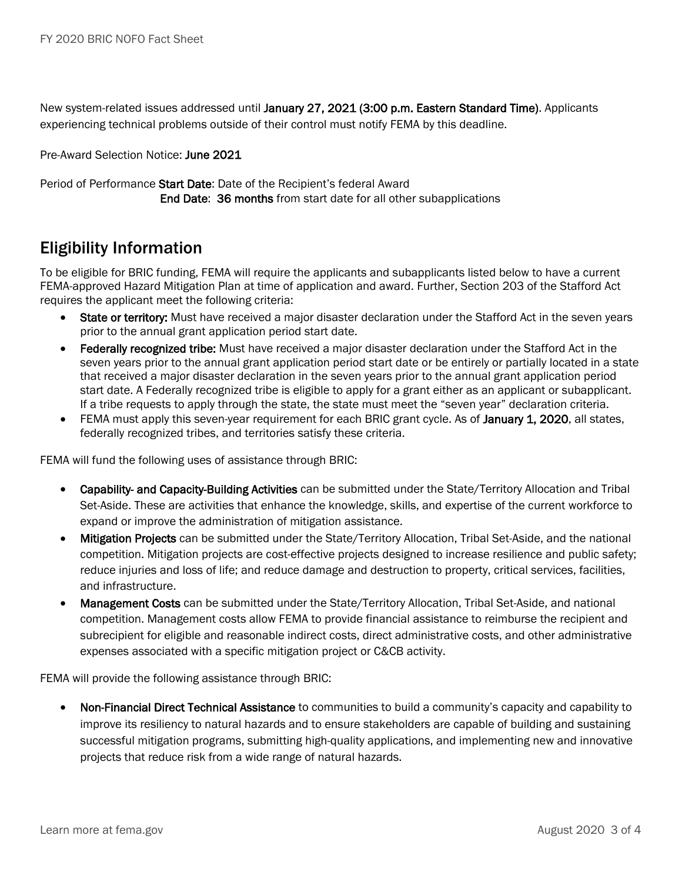New system-related issues addressed until January 27, 2021 (3:00 p.m. Eastern Standard Time). Applicants experiencing technical problems outside of their control must notify FEMA by this deadline.

Pre-Award Selection Notice: June 2021

Period of Performance Start Date: Date of the Recipient's federal Award End Date: 36 months from start date for all other subapplications

#### Eligibility Information

To be eligible for BRIC funding, FEMA will require the applicants and subapplicants listed below to have a current FEMA-approved Hazard Mitigation Plan at time of application and award. Further, Section 203 of the Stafford Act requires the applicant meet the following criteria:

- State or territory: Must have received a major disaster declaration under the Stafford Act in the seven years prior to the annual grant application period start date.
- Federally recognized tribe: Must have received a major disaster declaration under the Stafford Act in the seven years prior to the annual grant application period start date or be entirely or partially located in a state that received a major disaster declaration in the seven years prior to the annual grant application period start date. A Federally recognized tribe is eligible to apply for a grant either as an applicant or subapplicant. If a tribe requests to apply through the state, the state must meet the "seven year" declaration criteria.
- FEMA must apply this seven-year requirement for each BRIC grant cycle. As of January 1, 2020, all states, federally recognized tribes, and territories satisfy these criteria.

FEMA will fund the following uses of assistance through BRIC:

- Capability- and Capacity-Building Activities can be submitted under the State/Territory Allocation and Tribal Set-Aside. These are activities that enhance the knowledge, skills, and expertise of the current workforce to expand or improve the administration of mitigation assistance.
- Mitigation Projects can be submitted under the State/Territory Allocation, Tribal Set-Aside, and the national competition. Mitigation projects are cost-effective projects designed to increase resilience and public safety; reduce injuries and loss of life; and reduce damage and destruction to property, critical services, facilities, and infrastructure.
- Management Costs can be submitted under the State/Territory Allocation, Tribal Set-Aside, and national competition. Management costs allow FEMA to provide financial assistance to reimburse the recipient and subrecipient for eligible and reasonable indirect costs, direct administrative costs, and other administrative expenses associated with a specific mitigation project or C&CB activity.

FEMA will provide the following assistance through BRIC:

• Non-Financial Direct Technical Assistance to communities to build a community's capacity and capability to improve its resiliency to natural hazards and to ensure stakeholders are capable of building and sustaining successful mitigation programs, submitting high-quality applications, and implementing new and innovative projects that reduce risk from a wide range of natural hazards.